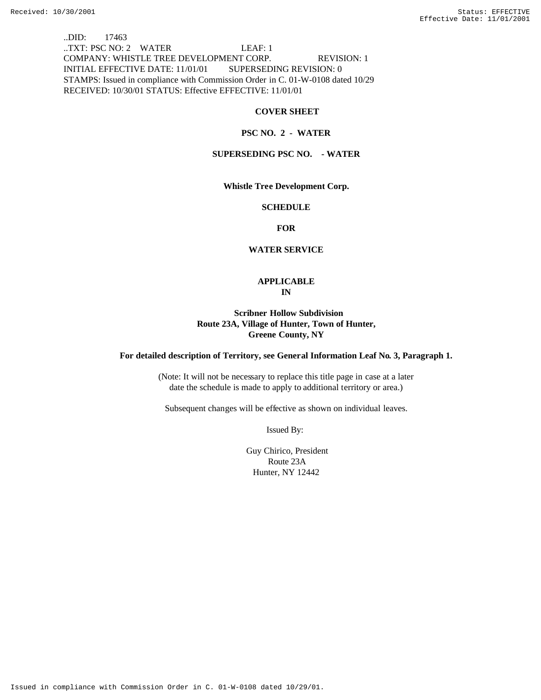..DID: 17463 ..TXT: PSC NO: 2 WATER LEAF: 1 COMPANY: WHISTLE TREE DEVELOPMENT CORP. REVISION: 1 INITIAL EFFECTIVE DATE: 11/01/01 SUPERSEDING REVISION: 0 STAMPS: Issued in compliance with Commission Order in C. 01-W-0108 dated 10/29 RECEIVED: 10/30/01 STATUS: Effective EFFECTIVE: 11/01/01

### **COVER SHEET**

### **PSC NO. 2 - WATER**

# **SUPERSEDING PSC NO. - WATER**

**Whistle Tree Development Corp.**

#### **SCHEDULE**

**FOR**

#### **WATER SERVICE**

# **APPLICABLE IN**

# **Scribner Hollow Subdivision Route 23A, Village of Hunter, Town of Hunter, Greene County, NY**

### **For detailed description of Territory, see General Information Leaf No. 3, Paragraph 1.**

(Note: It will not be necessary to replace this title page in case at a later date the schedule is made to apply to additional territory or area.)

Subsequent changes will be effective as shown on individual leaves.

Issued By:

 Guy Chirico, President Route 23A Hunter, NY 12442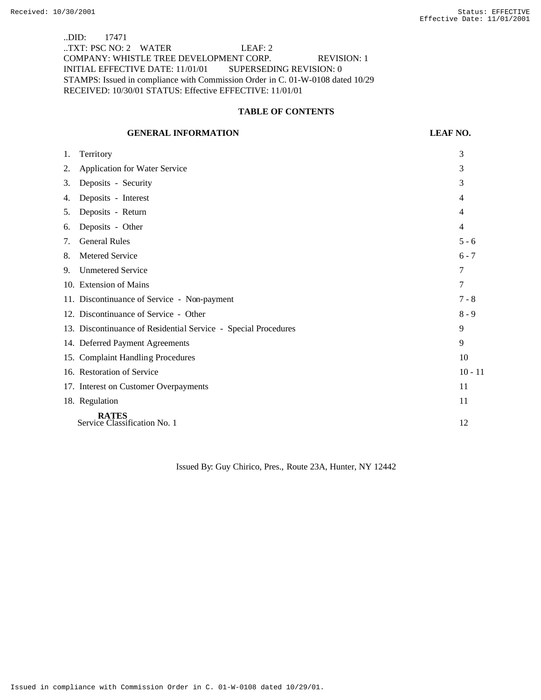..DID: 17471 ..TXT: PSC NO: 2 WATER LEAF: 2 COMPANY: WHISTLE TREE DEVELOPMENT CORP. REVISION: 1 INITIAL EFFECTIVE DATE: 11/01/01 SUPERSEDING REVISION: 0 STAMPS: Issued in compliance with Commission Order in C. 01-W-0108 dated 10/29 RECEIVED: 10/30/01 STATUS: Effective EFFECTIVE: 11/01/01

### **TABLE OF CONTENTS**

### **GENERAL INFORMATION LEAF NO.**

| 1. | Territory                                                      | 3         |
|----|----------------------------------------------------------------|-----------|
| 2. | <b>Application for Water Service</b>                           | 3         |
| 3. | Deposits - Security                                            | 3         |
| 4. | Deposits - Interest                                            | 4         |
| 5. | Deposits - Return                                              | 4         |
| 6. | Deposits - Other                                               | 4         |
| 7. | <b>General Rules</b>                                           | $5 - 6$   |
| 8. | Metered Service                                                | $6 - 7$   |
| 9. | <b>Unmetered Service</b>                                       | 7         |
|    | 10. Extension of Mains                                         | 7         |
|    | 11. Discontinuance of Service - Non-payment                    | $7 - 8$   |
|    | 12. Discontinuance of Service - Other                          | $8 - 9$   |
|    | 13. Discontinuance of Residential Service - Special Procedures | 9         |
|    | 14. Deferred Payment Agreements                                | 9         |
|    | 15. Complaint Handling Procedures                              | 10        |
|    | 16. Restoration of Service                                     | $10 - 11$ |
|    | 17. Interest on Customer Overpayments                          | 11        |
|    | 18. Regulation                                                 | 11        |
|    | <b>RATES</b><br>Service Classification No. 1                   | 12        |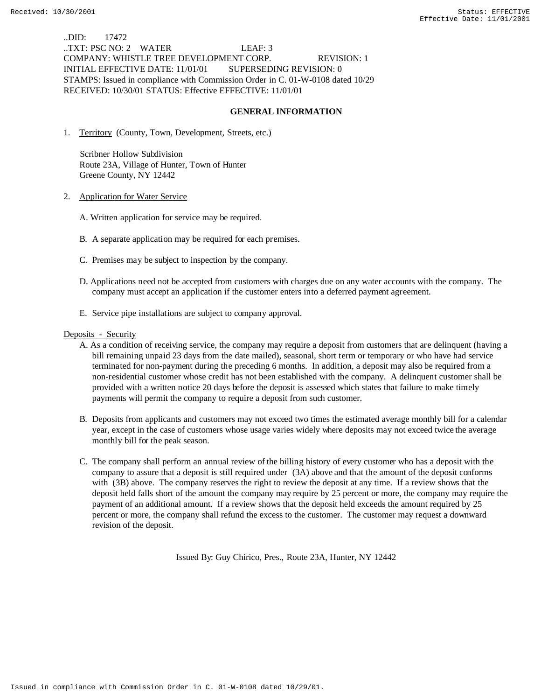..DID: 17472 ..TXT: PSC NO: 2 WATER LEAF: 3 COMPANY: WHISTLE TREE DEVELOPMENT CORP. REVISION: 1 INITIAL EFFECTIVE DATE: 11/01/01 SUPERSEDING REVISION: 0 STAMPS: Issued in compliance with Commission Order in C. 01-W-0108 dated 10/29 RECEIVED: 10/30/01 STATUS: Effective EFFECTIVE: 11/01/01

## **GENERAL INFORMATION**

1. Territory (County, Town, Development, Streets, etc.)

 Scribner Hollow Subdivision Route 23A, Village of Hunter, Town of Hunter Greene County, NY 12442

- 2. Application for Water Service
	- A. Written application for service may be required.
	- B. A separate application may be required for each premises.
	- C. Premises may be subject to inspection by the company.
	- D. Applications need not be accepted from customers with charges due on any water accounts with the company. The company must accept an application if the customer enters into a deferred payment agreement.
	- E. Service pipe installations are subject to company approval.

#### Deposits - Security

- A. As a condition of receiving service, the company may require a deposit from customers that are delinquent (having a bill remaining unpaid 23 days from the date mailed), seasonal, short term or temporary or who have had service terminated for non-payment during the preceding 6 months. In addition, a deposit may also be required from a non-residential customer whose credit has not been established with the company. A delinquent customer shall be provided with a written notice 20 days before the deposit is assessed which states that failure to make timely payments will permit the company to require a deposit from such customer.
- B. Deposits from applicants and customers may not exceed two times the estimated average monthly bill for a calendar year, except in the case of customers whose usage varies widely where deposits may not exceed twice the average monthly bill for the peak season.
- C. The company shall perform an annual review of the billing history of every customer who has a deposit with the company to assure that a deposit is still required under (3A) above and that the amount of the deposit conforms with (3B) above. The company reserves the right to review the deposit at any time. If a review shows that the deposit held falls short of the amount the company may require by 25 percent or more, the company may require the payment of an additional amount. If a review shows that the deposit held exceeds the amount required by 25 percent or more, the company shall refund the excess to the customer. The customer may request a downward revision of the deposit.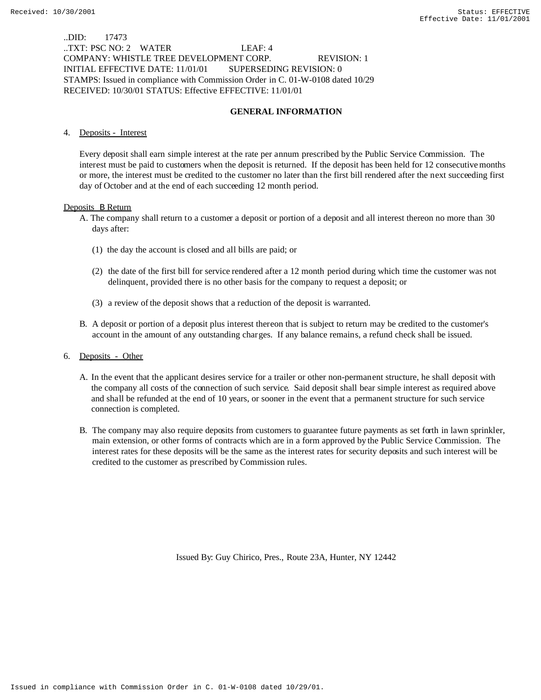..DID: 17473 ..TXT: PSC NO: 2 WATER LEAF: 4 COMPANY: WHISTLE TREE DEVELOPMENT CORP. REVISION: 1 INITIAL EFFECTIVE DATE: 11/01/01 SUPERSEDING REVISION: 0 STAMPS: Issued in compliance with Commission Order in C. 01-W-0108 dated 10/29 RECEIVED: 10/30/01 STATUS: Effective EFFECTIVE: 11/01/01

# **GENERAL INFORMATION**

### 4. Deposits - Interest

Every deposit shall earn simple interest at the rate per annum prescribed by the Public Service Commission. The interest must be paid to customers when the deposit is returned. If the deposit has been held for 12 consecutive months or more, the interest must be credited to the customer no later than the first bill rendered after the next succeeding first day of October and at the end of each succeeding 12 month period.

#### Deposits B Return

- A. The company shall return to a customer a deposit or portion of a deposit and all interest thereon no more than 30 days after:
	- (1) the day the account is closed and all bills are paid; or
	- (2) the date of the first bill for service rendered after a 12 month period during which time the customer was not delinquent, provided there is no other basis for the company to request a deposit; or
	- (3) a review of the deposit shows that a reduction of the deposit is warranted.
- B. A deposit or portion of a deposit plus interest thereon that is subject to return may be credited to the customer's account in the amount of any outstanding charges. If any balance remains, a refund check shall be issued.
- 6. Deposits Other
	- A. In the event that the applicant desires service for a trailer or other non-permanent structure, he shall deposit with the company all costs of the connection of such service. Said deposit shall bear simple interest as required above and shall be refunded at the end of 10 years, or sooner in the event that a permanent structure for such service connection is completed.
	- B. The company may also require deposits from customers to guarantee future payments as set forth in lawn sprinkler, main extension, or other forms of contracts which are in a form approved by the Public Service Commission. The interest rates for these deposits will be the same as the interest rates for security deposits and such interest will be credited to the customer as prescribed by Commission rules.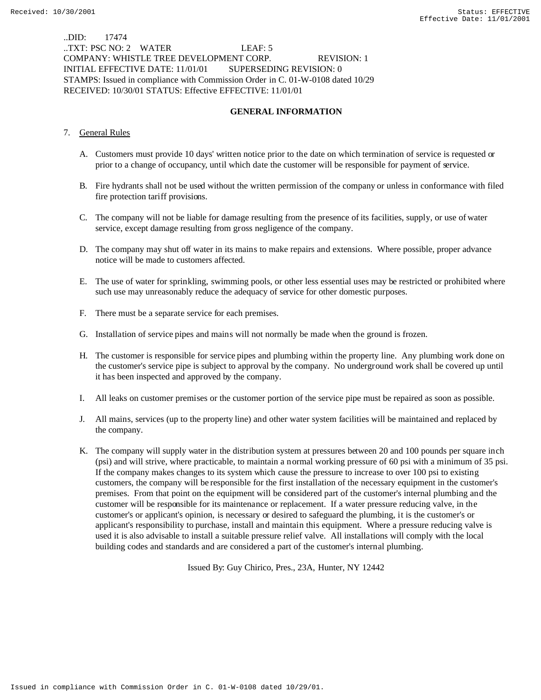..DID: 17474 ..TXT: PSC NO: 2 WATER LEAF: 5 COMPANY: WHISTLE TREE DEVELOPMENT CORP. REVISION: 1 INITIAL EFFECTIVE DATE: 11/01/01 SUPERSEDING REVISION: 0 STAMPS: Issued in compliance with Commission Order in C. 01-W-0108 dated 10/29 RECEIVED: 10/30/01 STATUS: Effective EFFECTIVE: 11/01/01

# **GENERAL INFORMATION**

## 7. General Rules

- A. Customers must provide 10 days' written notice prior to the date on which termination of service is requested or prior to a change of occupancy, until which date the customer will be responsible for payment of service.
- B. Fire hydrants shall not be used without the written permission of the company or unless in conformance with filed fire protection tariff provisions.
- C. The company will not be liable for damage resulting from the presence of its facilities, supply, or use of water service, except damage resulting from gross negligence of the company.
- D. The company may shut off water in its mains to make repairs and extensions. Where possible, proper advance notice will be made to customers affected.
- E. The use of water for sprinkling, swimming pools, or other less essential uses may be restricted or prohibited where such use may unreasonably reduce the adequacy of service for other domestic purposes.
- F. There must be a separate service for each premises.
- G. Installation of service pipes and mains will not normally be made when the ground is frozen.
- H. The customer is responsible for service pipes and plumbing within the property line. Any plumbing work done on the customer's service pipe is subject to approval by the company. No underground work shall be covered up until it has been inspected and approved by the company.
- I. All leaks on customer premises or the customer portion of the service pipe must be repaired as soon as possible.
- J. All mains, services (up to the property line) and other water system facilities will be maintained and replaced by the company.
- K. The company will supply water in the distribution system at pressures between 20 and 100 pounds per square inch (psi) and will strive, where practicable, to maintain a normal working pressure of 60 psi with a minimum of 35 psi. If the company makes changes to its system which cause the pressure to increase to over 100 psi to existing customers, the company will be responsible for the first installation of the necessary equipment in the customer's premises. From that point on the equipment will be considered part of the customer's internal plumbing and the customer will be responsible for its maintenance or replacement. If a water pressure reducing valve, in the customer's or applicant's opinion, is necessary or desired to safeguard the plumbing, it is the customer's or applicant's responsibility to purchase, install and maintain this equipment. Where a pressure reducing valve is used it is also advisable to install a suitable pressure relief valve. All installations will comply with the local building codes and standards and are considered a part of the customer's internal plumbing.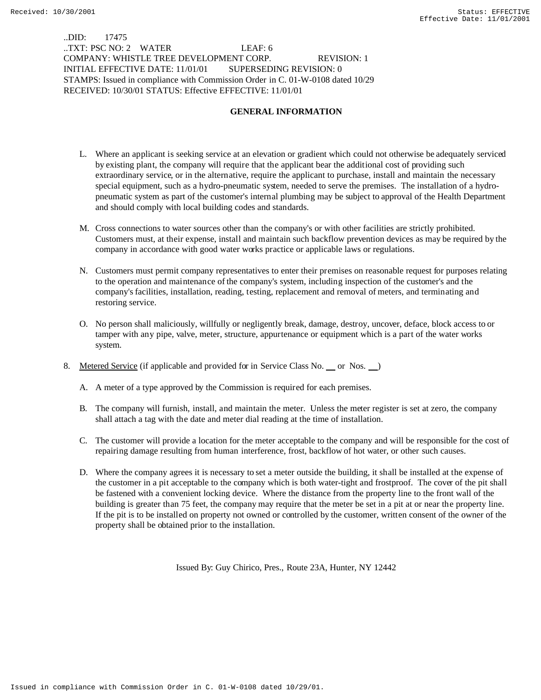..DID: 17475 ..TXT: PSC NO: 2 WATER LEAF: 6 COMPANY: WHISTLE TREE DEVELOPMENT CORP. REVISION: 1 INITIAL EFFECTIVE DATE: 11/01/01 SUPERSEDING REVISION: 0 STAMPS: Issued in compliance with Commission Order in C. 01-W-0108 dated 10/29 RECEIVED: 10/30/01 STATUS: Effective EFFECTIVE: 11/01/01

# **GENERAL INFORMATION**

- L. Where an applicant is seeking service at an elevation or gradient which could not otherwise be adequately serviced by existing plant, the company will require that the applicant bear the additional cost of providing such extraordinary service, or in the alternative, require the applicant to purchase, install and maintain the necessary special equipment, such as a hydro-pneumatic system, needed to serve the premises. The installation of a hydropneumatic system as part of the customer's internal plumbing may be subject to approval of the Health Department and should comply with local building codes and standards.
- M. Cross connections to water sources other than the company's or with other facilities are strictly prohibited. Customers must, at their expense, install and maintain such backflow prevention devices as may be required by the company in accordance with good water works practice or applicable laws or regulations.
- N. Customers must permit company representatives to enter their premises on reasonable request for purposes relating to the operation and maintenance of the company's system, including inspection of the customer's and the company's facilities, installation, reading, testing, replacement and removal of meters, and terminating and restoring service.
- O. No person shall maliciously, willfully or negligently break, damage, destroy, uncover, deface, block access to or tamper with any pipe, valve, meter, structure, appurtenance or equipment which is a part of the water works system.
- 8. Metered Service (if applicable and provided for in Service Class No. or Nos. )
	- A. A meter of a type approved by the Commission is required for each premises.
	- B. The company will furnish, install, and maintain the meter. Unless the meter register is set at zero, the company shall attach a tag with the date and meter dial reading at the time of installation.
	- C. The customer will provide a location for the meter acceptable to the company and will be responsible for the cost of repairing damage resulting from human interference, frost, backflow of hot water, or other such causes.
	- D. Where the company agrees it is necessary to set a meter outside the building, it shall be installed at the expense of the customer in a pit acceptable to the company which is both water-tight and frostproof. The cover of the pit shall be fastened with a convenient locking device. Where the distance from the property line to the front wall of the building is greater than 75 feet, the company may require that the meter be set in a pit at or near the property line. If the pit is to be installed on property not owned or controlled by the customer, written consent of the owner of the property shall be obtained prior to the installation.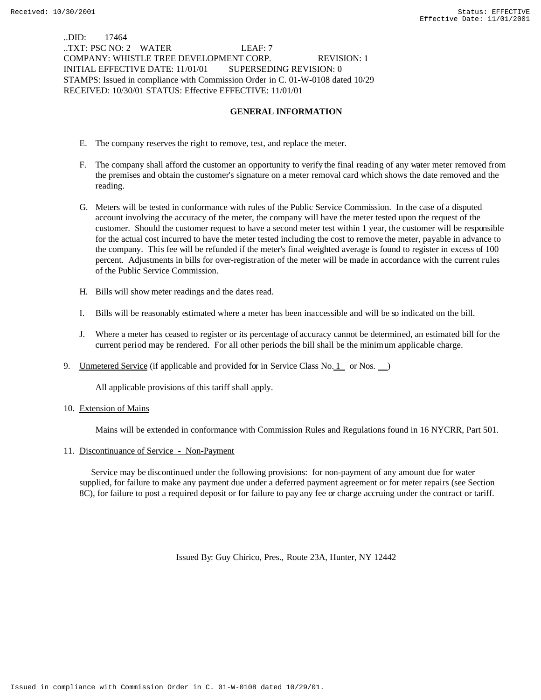..DID: 17464 ..TXT: PSC NO: 2 WATER LEAF: 7 COMPANY: WHISTLE TREE DEVELOPMENT CORP. REVISION: 1 INITIAL EFFECTIVE DATE: 11/01/01 SUPERSEDING REVISION: 0 STAMPS: Issued in compliance with Commission Order in C. 01-W-0108 dated 10/29 RECEIVED: 10/30/01 STATUS: Effective EFFECTIVE: 11/01/01

# **GENERAL INFORMATION**

- E. The company reserves the right to remove, test, and replace the meter.
- F. The company shall afford the customer an opportunity to verify the final reading of any water meter removed from the premises and obtain the customer's signature on a meter removal card which shows the date removed and the reading.
- G. Meters will be tested in conformance with rules of the Public Service Commission. In the case of a disputed account involving the accuracy of the meter, the company will have the meter tested upon the request of the customer. Should the customer request to have a second meter test within 1 year, the customer will be responsible for the actual cost incurred to have the meter tested including the cost to remove the meter, payable in advance to the company. This fee will be refunded if the meter's final weighted average is found to register in excess of 100 percent. Adjustments in bills for over-registration of the meter will be made in accordance with the current rules of the Public Service Commission.
- H. Bills will show meter readings and the dates read.
- I. Bills will be reasonably estimated where a meter has been inaccessible and will be so indicated on the bill.
- J. Where a meter has ceased to register or its percentage of accuracy cannot be determined, an estimated bill for the current period may be rendered. For all other periods the bill shall be the minimum applicable charge.
- 9. Unmetered Service (if applicable and provided for in Service Class No. 1 or Nos.  $\Box$ )

All applicable provisions of this tariff shall apply.

10. Extension of Mains

Mains will be extended in conformance with Commission Rules and Regulations found in 16 NYCRR, Part 501.

### 11. Discontinuance of Service - Non-Payment

 Service may be discontinued under the following provisions: for non-payment of any amount due for water supplied, for failure to make any payment due under a deferred payment agreement or for meter repairs (see Section 8C), for failure to post a required deposit or for failure to pay any fee or charge accruing under the contract or tariff.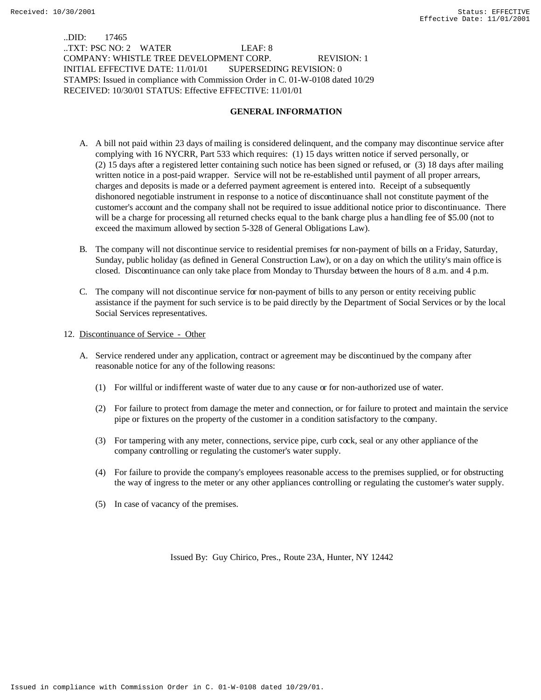..DID: 17465 ..TXT: PSC NO: 2 WATER LEAF: 8 COMPANY: WHISTLE TREE DEVELOPMENT CORP. REVISION: 1 INITIAL EFFECTIVE DATE: 11/01/01 SUPERSEDING REVISION: 0 STAMPS: Issued in compliance with Commission Order in C. 01-W-0108 dated 10/29 RECEIVED: 10/30/01 STATUS: Effective EFFECTIVE: 11/01/01

# **GENERAL INFORMATION**

- A. A bill not paid within 23 days of mailing is considered delinquent, and the company may discontinue service after complying with 16 NYCRR, Part 533 which requires: (1) 15 days written notice if served personally, or (2) 15 days after a registered letter containing such notice has been signed or refused, or (3) 18 days after mailing written notice in a post-paid wrapper. Service will not be re-established until payment of all proper arrears, charges and deposits is made or a deferred payment agreement is entered into. Receipt of a subsequently dishonored negotiable instrument in response to a notice of discontinuance shall not constitute payment of the customer's account and the company shall not be required to issue additional notice prior to discontinuance. There will be a charge for processing all returned checks equal to the bank charge plus a handling fee of \$5.00 (not to exceed the maximum allowed by section 5-328 of General Obligations Law).
- B. The company will not discontinue service to residential premises for non-payment of bills on a Friday, Saturday, Sunday, public holiday (as defined in General Construction Law), or on a day on which the utility's main office is closed. Discontinuance can only take place from Monday to Thursday between the hours of 8 a.m. and 4 p.m.
- C. The company will not discontinue service for non-payment of bills to any person or entity receiving public assistance if the payment for such service is to be paid directly by the Department of Social Services or by the local Social Services representatives.
- 12. Discontinuance of Service Other
	- A. Service rendered under any application, contract or agreement may be discontinued by the company after reasonable notice for any of the following reasons:
		- (1) For willful or indifferent waste of water due to any cause or for non-authorized use of water.
		- (2) For failure to protect from damage the meter and connection, or for failure to protect and maintain the service pipe or fixtures on the property of the customer in a condition satisfactory to the company.
		- (3) For tampering with any meter, connections, service pipe, curb cock, seal or any other appliance of the company controlling or regulating the customer's water supply.
		- (4) For failure to provide the company's employees reasonable access to the premises supplied, or for obstructing the way of ingress to the meter or any other appliances controlling or regulating the customer's water supply.
		- (5) In case of vacancy of the premises.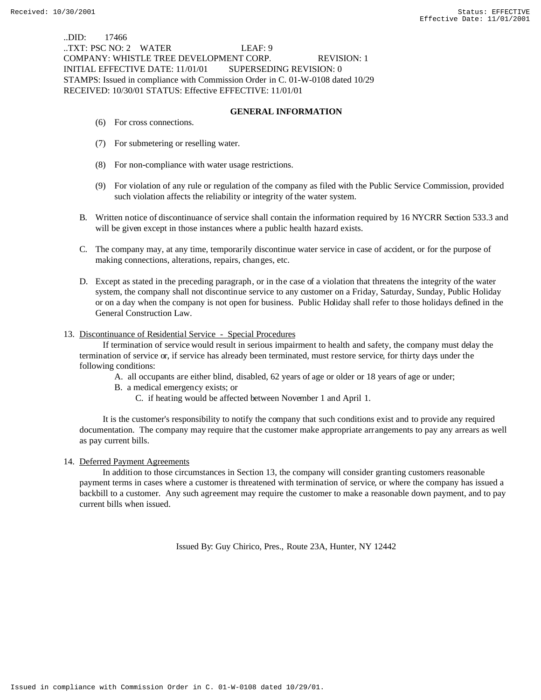..DID: 17466 ..TXT: PSC NO: 2 WATER LEAF: 9 COMPANY: WHISTLE TREE DEVELOPMENT CORP. REVISION: 1 INITIAL EFFECTIVE DATE: 11/01/01 SUPERSEDING REVISION: 0 STAMPS: Issued in compliance with Commission Order in C. 01-W-0108 dated 10/29 RECEIVED: 10/30/01 STATUS: Effective EFFECTIVE: 11/01/01

## **GENERAL INFORMATION**

- (6) For cross connections.
- (7) For submetering or reselling water.
- (8) For non-compliance with water usage restrictions.
- (9) For violation of any rule or regulation of the company as filed with the Public Service Commission, provided such violation affects the reliability or integrity of the water system.
- B. Written notice of discontinuance of service shall contain the information required by 16 NYCRR Section 533.3 and will be given except in those instances where a public health hazard exists.
- C. The company may, at any time, temporarily discontinue water service in case of accident, or for the purpose of making connections, alterations, repairs, changes, etc.
- D. Except as stated in the preceding paragraph, or in the case of a violation that threatens the integrity of the water system, the company shall not discontinue service to any customer on a Friday, Saturday, Sunday, Public Holiday or on a day when the company is not open for business. Public Holiday shall refer to those holidays defined in the General Construction Law.

## 13. Discontinuance of Residential Service - Special Procedures

 If termination of service would result in serious impairment to health and safety, the company must delay the termination of service or, if service has already been terminated, must restore service, for thirty days under the following conditions:

- A. all occupants are either blind, disabled, 62 years of age or older or 18 years of age or under;
- B. a medical emergency exists; or
	- C. if heating would be affected between November 1 and April 1.

 It is the customer's responsibility to notify the company that such conditions exist and to provide any required documentation. The company may require that the customer make appropriate arrangements to pay any arrears as well as pay current bills.

### 14. Deferred Payment Agreements

 In addition to those circumstances in Section 13, the company will consider granting customers reasonable payment terms in cases where a customer is threatened with termination of service, or where the company has issued a backbill to a customer. Any such agreement may require the customer to make a reasonable down payment, and to pay current bills when issued.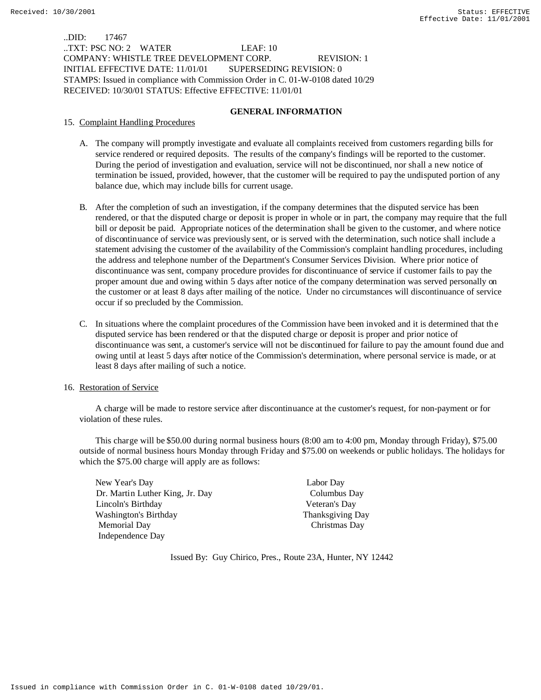..DID: 17467 ..TXT: PSC NO: 2 WATER LEAF: 10 COMPANY: WHISTLE TREE DEVELOPMENT CORP. REVISION: 1 INITIAL EFFECTIVE DATE: 11/01/01 SUPERSEDING REVISION: 0 STAMPS: Issued in compliance with Commission Order in C. 01-W-0108 dated 10/29 RECEIVED: 10/30/01 STATUS: Effective EFFECTIVE: 11/01/01

## **GENERAL INFORMATION**

15. Complaint Handling Procedures

- A. The company will promptly investigate and evaluate all complaints received from customers regarding bills for service rendered or required deposits. The results of the company's findings will be reported to the customer. During the period of investigation and evaluation, service will not be discontinued, nor shall a new notice of termination be issued, provided, however, that the customer will be required to pay the undisputed portion of any balance due, which may include bills for current usage.
- B. After the completion of such an investigation, if the company determines that the disputed service has been rendered, or that the disputed charge or deposit is proper in whole or in part, the company may require that the full bill or deposit be paid. Appropriate notices of the determination shall be given to the customer, and where notice of discontinuance of service was previously sent, or is served with the determination, such notice shall include a statement advising the customer of the availability of the Commission's complaint handling procedures, including the address and telephone number of the Department's Consumer Services Division. Where prior notice of discontinuance was sent, company procedure provides for discontinuance of service if customer fails to pay the proper amount due and owing within 5 days after notice of the company determination was served personally on the customer or at least 8 days after mailing of the notice. Under no circumstances will discontinuance of service occur if so precluded by the Commission.
- C. In situations where the complaint procedures of the Commission have been invoked and it is determined that the disputed service has been rendered or that the disputed charge or deposit is proper and prior notice of discontinuance was sent, a customer's service will not be discontinued for failure to pay the amount found due and owing until at least 5 days after notice of the Commission's determination, where personal service is made, or at least 8 days after mailing of such a notice.

### 16. Restoration of Service

 A charge will be made to restore service after discontinuance at the customer's request, for non-payment or for violation of these rules.

This charge will be \$50.00 during normal business hours (8:00 am to 4:00 pm, Monday through Friday), \$75.00 outside of normal business hours Monday through Friday and \$75.00 on weekends or public holidays. The holidays for which the \$75.00 charge will apply are as follows:

New Year's Day Labor Day Dr. Martin Luther King, Jr. Day Columbus Day Lincoln's Birthday Veteran's Day Washington's Birthday Thanksgiving Day Memorial Day Christmas Day Independence Day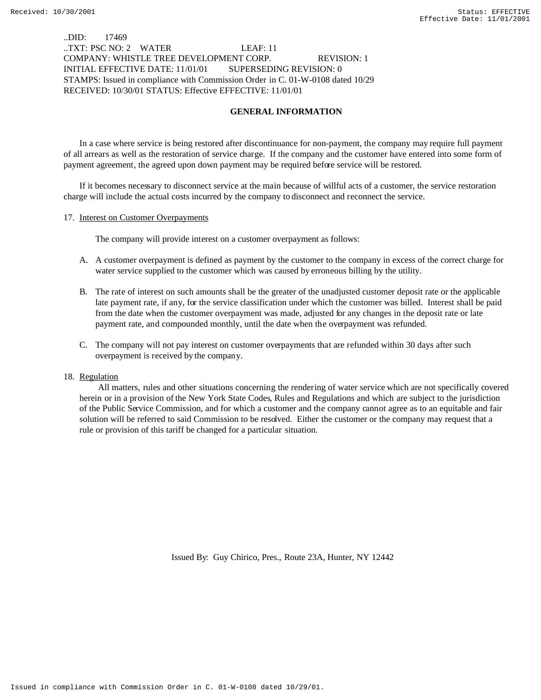# ..DID: 17469 ..TXT: PSC NO: 2 WATER LEAF: 11 COMPANY: WHISTLE TREE DEVELOPMENT CORP. REVISION: 1 INITIAL EFFECTIVE DATE: 11/01/01 SUPERSEDING REVISION: 0 STAMPS: Issued in compliance with Commission Order in C. 01-W-0108 dated 10/29 RECEIVED: 10/30/01 STATUS: Effective EFFECTIVE: 11/01/01

# **GENERAL INFORMATION**

In a case where service is being restored after discontinuance for non-payment, the company may require full payment of all arrears as well as the restoration of service charge. If the company and the customer have entered into some form of payment agreement, the agreed upon down payment may be required before service will be restored.

If it becomes necessary to disconnect service at the main because of willful acts of a customer, the service restoration charge will include the actual costs incurred by the company to disconnect and reconnect the service.

#### 17. Interest on Customer Overpayments

The company will provide interest on a customer overpayment as follows:

- A. A customer overpayment is defined as payment by the customer to the company in excess of the correct charge for water service supplied to the customer which was caused by erroneous billing by the utility.
- B. The rate of interest on such amounts shall be the greater of the unadjusted customer deposit rate or the applicable late payment rate, if any, for the service classification under which the customer was billed. Interest shall be paid from the date when the customer overpayment was made, adjusted for any changes in the deposit rate or late payment rate, and compounded monthly, until the date when the overpayment was refunded.
- C. The company will not pay interest on customer overpayments that are refunded within 30 days after such overpayment is received by the company.

#### 18. Regulation

 All matters, rules and other situations concerning the rendering of water service which are not specifically covered herein or in a provision of the New York State Codes, Rules and Regulations and which are subject to the jurisdiction of the Public Service Commission, and for which a customer and the company cannot agree as to an equitable and fair solution will be referred to said Commission to be resolved. Either the customer or the company may request that a rule or provision of this tariff be changed for a particular situation.